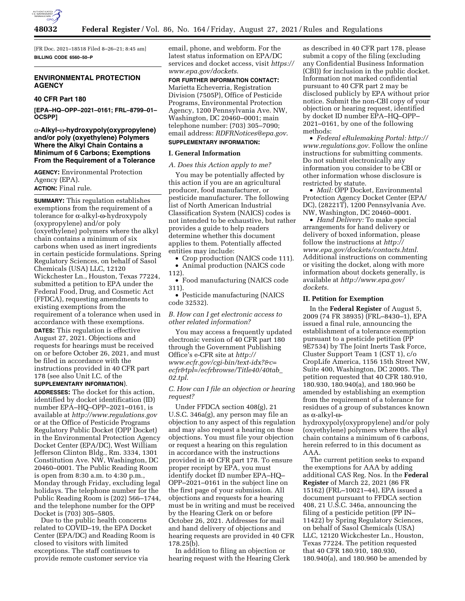

[FR Doc. 2021–18518 Filed 8–26–21; 8:45 am] **BILLING CODE 6560–50–P** 

# **ENVIRONMENTAL PROTECTION AGENCY**

### **40 CFR Part 180**

**[EPA–HQ–OPP–2021–0161; FRL–8799–01– OCSPP]** 

# α**-Alkyl-**w**-hydroxypoly(oxypropylene) and/or poly (oxyethylene) Polymers Where the Alkyl Chain Contains a Minimum of 6 Carbons; Exemptions From the Requirement of a Tolerance**

**AGENCY:** Environmental Protection Agency (EPA). **ACTION:** Final rule.

**SUMMARY:** This regulation establishes exemptions from the requirement of a tolerance for  $\alpha$ -alkyl- $\omega$ -hydroxypoly (oxypropylene) and/or poly (oxyethylene) polymers where the alkyl chain contains a minimum of six carbons when used as inert ingredients in certain pesticide formulations. Spring Regulatory Sciences, on behalf of Sasol Chemicals (USA) LLC, 12120 Wickchester Ln., Houston, Texas 77224, submitted a petition to EPA under the Federal Food, Drug, and Cosmetic Act (FFDCA), requesting amendments to existing exemptions from the requirement of a tolerance when used in accordance with these exemptions. **DATES:** This regulation is effective August 27, 2021. Objections and requests for hearings must be received on or before October 26, 2021, and must be filed in accordance with the instructions provided in 40 CFR part

178 (see also Unit I.C. of the **SUPPLEMENTARY INFORMATION**). **ADDRESSES:** The docket for this action,

identified by docket identification (ID) number EPA–HQ–OPP–2021–0161, is available at *<http://www.regulations.gov>* or at the Office of Pesticide Programs Regulatory Public Docket (OPP Docket) in the Environmental Protection Agency Docket Center (EPA/DC), West William Jefferson Clinton Bldg., Rm. 3334, 1301 Constitution Ave. NW, Washington, DC 20460–0001. The Public Reading Room is open from 8:30 a.m. to 4:30 p.m., Monday through Friday, excluding legal holidays. The telephone number for the Public Reading Room is (202) 566–1744, and the telephone number for the OPP Docket is (703) 305–5805.

Due to the public health concerns related to COVID–19, the EPA Docket Center (EPA/DC) and Reading Room is closed to visitors with limited exceptions. The staff continues to provide remote customer service via

email, phone, and webform. For the latest status information on EPA/DC services and docket access, visit *[https://](https://www.epa.gov/dockets) [www.epa.gov/dockets](https://www.epa.gov/dockets)*.

**FOR FURTHER INFORMATION CONTACT:**  Marietta Echeverria, Registration Division (7505P), Office of Pesticide Programs, Environmental Protection Agency, 1200 Pennsylvania Ave. NW, Washington, DC 20460–0001; main telephone number: (703) 305–7090; email address: *[RDFRNotices@epa.gov](mailto:RDFRNotices@epa.gov)*.

# **SUPPLEMENTARY INFORMATION:**

# **I. General Information**

### *A. Does this Action apply to me?*

You may be potentially affected by this action if you are an agricultural producer, food manufacturer, or pesticide manufacturer. The following list of North American Industrial Classification System (NAICS) codes is not intended to be exhaustive, but rather provides a guide to help readers determine whether this document applies to them. Potentially affected entities may include:

• Crop production (NAICS code 111). • Animal production (NAICS code

112).

• Food manufacturing (NAICS code 311).

• Pesticide manufacturing (NAICS code 32532).

*B. How can I get electronic access to other related information?* 

You may access a frequently updated electronic version of 40 CFR part 180 through the Government Publishing Office's e-CFR site at *[http://](http://www.ecfr.gov/cgi-bin/text-idx?&c=ecfr&tpl=/ecfrbrowse/Title40/40tab_02.tpl) [www.ecfr.gov/cgi-bin/text-idx?&c=](http://www.ecfr.gov/cgi-bin/text-idx?&c=ecfr&tpl=/ecfrbrowse/Title40/40tab_02.tpl) [ecfr&tpl=/ecfrbrowse/Title40/40tab](http://www.ecfr.gov/cgi-bin/text-idx?&c=ecfr&tpl=/ecfrbrowse/Title40/40tab_02.tpl)*\_ *[02.tpl](http://www.ecfr.gov/cgi-bin/text-idx?&c=ecfr&tpl=/ecfrbrowse/Title40/40tab_02.tpl)*.

# *C. How can I file an objection or hearing request?*

Under FFDCA section 408(g), 21 U.S.C. 346a(g), any person may file an objection to any aspect of this regulation and may also request a hearing on those objections. You must file your objection or request a hearing on this regulation in accordance with the instructions provided in 40 CFR part 178. To ensure proper receipt by EPA, you must identify docket ID number EPA–HQ– OPP–2021–0161 in the subject line on the first page of your submission. All objections and requests for a hearing must be in writing and must be received by the Hearing Clerk on or before October 26, 2021. Addresses for mail and hand delivery of objections and hearing requests are provided in 40 CFR 178.25(b).

In addition to filing an objection or hearing request with the Hearing Clerk

as described in 40 CFR part 178, please submit a copy of the filing (excluding any Confidential Business Information (CBI)) for inclusion in the public docket. Information not marked confidential pursuant to 40 CFR part 2 may be disclosed publicly by EPA without prior notice. Submit the non-CBI copy of your objection or hearing request, identified by docket ID number EPA–HQ–OPP– 2021–0161, by one of the following methods:

• *Federal eRulemaking Portal: [http://](http://www.regulations.gov)  [www.regulations.gov](http://www.regulations.gov)*. Follow the online instructions for submitting comments. Do not submit electronically any information you consider to be CBI or other information whose disclosure is restricted by statute.

• *Mail:* OPP Docket, Environmental Protection Agency Docket Center (EPA/ DC), (28221T), 1200 Pennsylvania Ave. NW, Washington, DC 20460–0001.

• *Hand Delivery:* To make special arrangements for hand delivery or delivery of boxed information, please follow the instructions at *[http://](http://www.epa.gov/dockets/contacts.html) [www.epa.gov/dockets/contacts.html.](http://www.epa.gov/dockets/contacts.html)*  Additional instructions on commenting or visiting the docket, along with more information about dockets generally, is available at *[http://www.epa.gov/](http://www.epa.gov/dockets) [dockets.](http://www.epa.gov/dockets)* 

### **II. Petition for Exemption**

In the **Federal Register** of August 5, 2009 (74 FR 38935) (FRL–8430–1), EPA issued a final rule, announcing the establishment of a tolerance exemption pursuant to a pesticide petition (PP 9E7534) by The Joint Inerts Task Force, Cluster Support Team 1 (CST 1), c/o CropLife America, 1156 15th Street NW, Suite 400, Washington, DC 20005. The petition requested that 40 CFR 180.910, 180.930, 180.940(a), and 180.960 be amended by establishing an exemption from the requirement of a tolerance for residues of a group of substances known as  $\alpha$ -alkyl- $\omega$ -

hydroxypoly(oxypropylene) and/or poly (oxyethylene) polymers where the alkyl chain contains a minimum of 6 carbons, herein referred to in this document as AAA.

The current petition seeks to expand the exemptions for AAA by adding additional CAS Reg. Nos. In the **Federal Register** of March 22, 2021 (86 FR 15162) (FRL–10021–44), EPA issued a document pursuant to FFDCA section 408, 21 U.S.C. 346a, announcing the filing of a pesticide petition (PP IN– 11422) by Spring Regulatory Sciences, on behalf of Sasol Chemicals (USA) LLC, 12120 Wickchester Ln., Houston, Texas 77224. The petition requested that 40 CFR 180.910, 180.930, 180.940(a), and 180.960 be amended by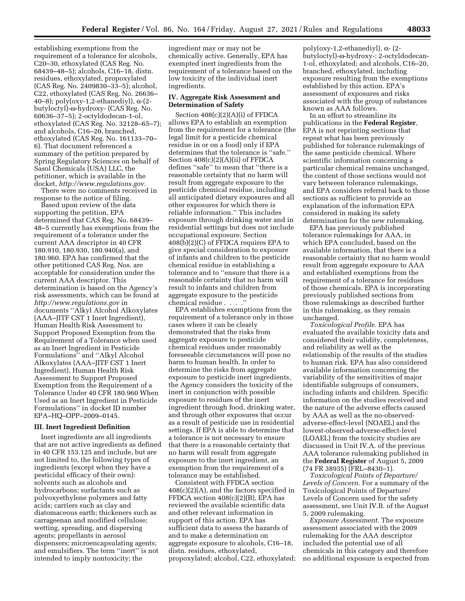establishing exemptions from the requirement of a tolerance for alcohols, C20–30, ethoxylated (CAS Reg. No. 68439–48–5); alcohols, C16–18, distn. residues, ethoxylated, propoxylated (CAS Reg. No. 2409830–33–5); alcohol, C22, ethoxylated (CAS Reg. No. 26636– 40–8); poly(oxy-1,2-ethanediyl),  $\alpha$ -(2butyloctyl)-w-hydroxy- (CAS Reg. No. 60636–37–5); 2-octyldodecan-1-ol, ethoxylated (CAS Reg. No. 32128–65–7); and alcohols, C16–20, branched, ethoxylated (CAS Reg. No. 161133–70– 6). That document referenced a summary of the petition prepared by Spring Regulatory Sciences on behalf of Sasol Chemicals (USA) LLC, the petitioner, which is available in the docket, *[http://www.regulations.gov.](http://www.regulations.gov)* 

There were no comments received in response to the notice of filing.

Based upon review of the data supporting the petition, EPA determined that CAS Reg. No. 68439– 48–5 currently has exemptions from the requirement of a tolerance under the current AAA descriptor in 40 CFR 180.910, 180.930, 180.940(a), and 180.960. EPA has confirmed that the other petitioned CAS Reg. Nos. are acceptable for consideration under the current AAA descriptor. This determination is based on the Agency's risk assessments, which can be found at *<http://www.regulations.gov>* in documents ''Alkyl Alcohol Alkoxylates (AAA–JITF CST 1 Inert Ingredient), Human Health Risk Assessment to Support Proposed Exemption from the Requirement of a Tolerance when used as an Inert Ingredient in Pesticide Formulations'' and ''Alkyl Alcohol Alkoxylates (AAA–JITF CST 1 Inert Ingredient), Human Health Risk Assessment to Support Proposed Exemption from the Requirement of a Tolerance Under 40 CFR 180.960 When Used as an Inert Ingredient in Pesticide Formulations'' in docket ID number EPA–HQ–OPP–2009–0145.

# **III. Inert Ingredient Definition**

Inert ingredients are all ingredients that are not active ingredients as defined in 40 CFR 153.125 and include, but are not limited to, the following types of ingredients (except when they have a pesticidal efficacy of their own): solvents such as alcohols and hydrocarbons; surfactants such as polyoxyethylene polymers and fatty acids; carriers such as clay and diatomaceous earth; thickeners such as carrageenan and modified cellulose; wetting, spreading, and dispersing agents; propellants in aerosol dispensers; microencapsulating agents; and emulsifiers. The term ''inert'' is not intended to imply nontoxicity; the

ingredient may or may not be chemically active. Generally, EPA has exempted inert ingredients from the requirement of a tolerance based on the low toxicity of the individual inert ingredients.

### **IV. Aggregate Risk Assessment and Determination of Safety**

Section 408(c)(2)(A)(i) of FFDCA allows EPA to establish an exemption from the requirement for a tolerance (the legal limit for a pesticide chemical residue in or on a food) only if EPA determines that the tolerance is ''safe.'' Section 408(c)(2)(A)(ii) of FFDCA defines ''safe'' to mean that ''there is a reasonable certainty that no harm will result from aggregate exposure to the pesticide chemical residue, including all anticipated dietary exposures and all other exposures for which there is reliable information.'' This includes exposure through drinking water and in residential settings but does not include occupational exposure. Section 408(b)(2)(C) of FFDCA requires EPA to give special consideration to exposure of infants and children to the pesticide chemical residue in establishing a tolerance and to ''ensure that there is a reasonable certainty that no harm will result to infants and children from aggregate exposure to the pesticide chemical residue . . . .''

EPA establishes exemptions from the requirement of a tolerance only in those cases where it can be clearly demonstrated that the risks from aggregate exposure to pesticide chemical residues under reasonably foreseeable circumstances will pose no harm to human health. In order to determine the risks from aggregate exposure to pesticide inert ingredients, the Agency considers the toxicity of the inert in conjunction with possible exposure to residues of the inert ingredient through food, drinking water, and through other exposures that occur as a result of pesticide use in residential settings. If EPA is able to determine that a tolerance is not necessary to ensure that there is a reasonable certainty that no harm will result from aggregate exposure to the inert ingredient, an exemption from the requirement of a tolerance may be established.

Consistent with FFDCA section 408(c)(2)(A), and the factors specified in FFDCA section 408(c)(2)(B), EPA has reviewed the available scientific data and other relevant information in support of this action. EPA has sufficient data to assess the hazards of and to make a determination on aggregate exposure to alcohols, C16–18, distn. residues, ethoxylated, propoxylated; alcohol, C22, ethoxylated;

poly(oxy-1,2-ethanediyl), a- (2 butyloctyl)-w-hydroxy-; 2-octyldodecan-1-ol, ethoxylated; and alcohols, C16–20, branched, ethoxylated, including exposure resulting from the exemptions established by this action. EPA's assessment of exposures and risks associated with the group of substances known as AAA follows.

In an effort to streamline its publications in the **Federal Register***,*  EPA is not reprinting sections that repeat what has been previously published for tolerance rulemakings of the same pesticide chemical. Where scientific information concerning a particular chemical remains unchanged, the content of those sections would not vary between tolerance rulemakings, and EPA considers referral back to those sections as sufficient to provide an explanation of the information EPA considered in making its safety determination for the new rulemaking.

EPA has previously published tolerance rulemakings for AAA, in which EPA concluded, based on the available information, that there is a reasonable certainty that no harm would result from aggregate exposure to AAA and established exemptions from the requirement of a tolerance for residues of those chemicals. EPA is incorporating previously published sections from those rulemakings as described further in this rulemaking, as they remain unchanged.

*Toxicological Profile.* EPA has evaluated the available toxicity data and considered their validity, completeness, and reliability as well as the relationship of the results of the studies to human risk. EPA has also considered available information concerning the variability of the sensitivities of major identifiable subgroups of consumers, including infants and children. Specific information on the studies received and the nature of the adverse effects caused by AAA as well as the no-observedadverse-effect-level (NOAEL) and the lowest-observed-adverse-effect-level (LOAEL) from the toxicity studies are discussed in Unit IV.A. of the previous AAA tolerance rulemaking published in the **Federal Register** of August 5, 2009 (74 FR 38935) (FRL–8430–1).

*Toxicological Points of Departure/ Levels of Concern.* For a summary of the Toxicological Points of Departure/ Levels of Concern used for the safety assessment, see Unit IV.B. of the August 5, 2009 rulemaking.

*Exposure Assessment.* The exposure assessment associated with the 2009 rulemaking for the AAA descriptor included the potential use of all chemicals in this category and therefore no additional exposure is expected from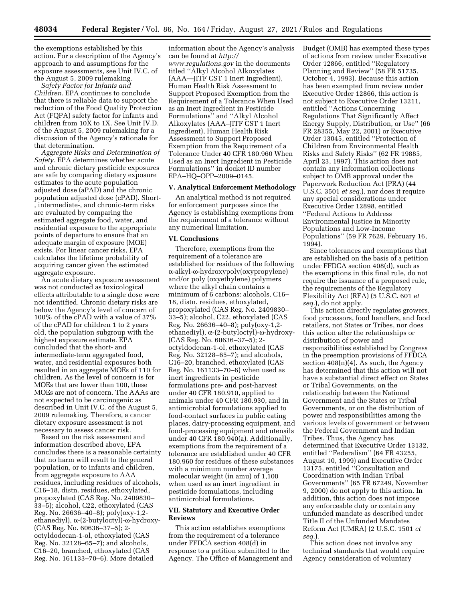the exemptions established by this action. For a description of the Agency's approach to and assumptions for the exposure assessments, see Unit IV.C. of the August 5, 2009 rulemaking.

*Safety Factor for Infants and Children.* EPA continues to conclude that there is reliable data to support the reduction of the Food Quality Protection Act (FQPA) safety factor for infants and children from 10X to 1X. See Unit IV.D. of the August 5, 2009 rulemaking for a discussion of the Agency's rationale for that determination.

*Aggregate Risks and Determination of Safety.* EPA determines whether acute and chronic dietary pesticide exposures are safe by comparing dietary exposure estimates to the acute population adjusted dose (aPAD) and the chronic population adjusted dose (cPAD). Short- , intermediate-, and chronic-term risks are evaluated by comparing the estimated aggregate food, water, and residential exposure to the appropriate points of departure to ensure that an adequate margin of exposure (MOE) exists. For linear cancer risks, EPA calculates the lifetime probability of acquiring cancer given the estimated aggregate exposure.

An acute dietary exposure assessment was not conducted as toxicological effects attributable to a single dose were not identified. Chronic dietary risks are below the Agency's level of concern of 100% of the cPAD with a value of 37% of the cPAD for children 1 to 2 years old, the population subgroup with the highest exposure estimate. EPA concluded that the short- and intermediate-term aggregated food, water, and residential exposures both resulted in an aggregate MOEs of 110 for children. As the level of concern is for MOEs that are lower than 100, these MOEs are not of concern. The AAAs are not expected to be carcinogenic as described in Unit IV.C. of the August 5, 2009 rulemaking. Therefore, a cancer dietary exposure assessment is not necessary to assess cancer risk.

Based on the risk assessment and information described above, EPA concludes there is a reasonable certainty that no harm will result to the general population, or to infants and children, from aggregate exposure to AAA residues, including residues of alcohols, C16–18, distn. residues, ethoxylated, propoxylated (CAS Reg. No. 2409830– 33–5); alcohol, C22, ethoxylated (CAS Reg. No. 26636–40–8); poly(oxy-1,2 ethanediyl),  $\alpha$ -(2-butyloctyl)- $\omega$ -hydroxy-(CAS Reg. No. 60636–37–5); 2 octyldodecan-1-ol, ethoxylated (CAS Reg. No. 32128–65–7); and alcohols, C16–20, branched, ethoxylated (CAS Reg. No. 161133–70–6). More detailed

information about the Agency's analysis can be found at *[http://](http://www.regulations.gov)*

*[www.regulations.gov](http://www.regulations.gov)* in the documents titled ''Alkyl Alcohol Alkoxylates (AAA—JITF CST 1 Inert Ingredient), Human Health Risk Assessment to Support Proposed Exemption from the Requirement of a Tolerance When Used as an Inert Ingredient in Pesticide Formulations'' and ''Alkyl Alcohol Alkoxylates (AAA–JITF CST 1 Inert Ingredient), Human Health Risk Assessment to Support Proposed Exemption from the Requirement of a Tolerance Under 40 CFR 180.960 When Used as an Inert Ingredient in Pesticide Formulations'' in docket ID number EPA–HQ–OPP–2009–0145.

### **V. Analytical Enforcement Methodology**

An analytical method is not required for enforcement purposes since the Agency is establishing exemptions from the requirement of a tolerance without any numerical limitation.

### **VI. Conclusions**

Therefore, exemptions from the requirement of a tolerance are established for residues of the following a-alkyl-w-hydroxypoly(oxypropylene) and/or poly (oxyethylene) polymers where the alkyl chain contains a minimum of 6 carbons: alcohols, C16– 18, distn. residues, ethoxylated, propoxylated (CAS Reg. No. 2409830– 33–5); alcohol, C22, ethoxylated (CAS Reg. No. 26636–40–8); poly(oxy-1,2 ethanediyl),  $\alpha$ -(2-butyloctyl)- $\omega$ -hydroxy-(CAS Reg. No. 60636–37–5); 2 octyldodecan-1-ol, ethoxylated (CAS Reg. No. 32128–65–7); and alcohols, C16–20, branched, ethoxylated (CAS Reg. No. 161133–70–6) when used as inert ingredients in pesticide formulations pre- and post-harvest under 40 CFR 180.910, applied to animals under 40 CFR 180.930, and in antimicrobial formulations applied to food-contact surfaces in public eating places, dairy-processing equipment, and food-processing equipment and utensils under 40 CFR 180.940(a). Additionally, exemptions from the requirement of a tolerance are established under 40 CFR 180.960 for residues of these substances with a minimum number average molecular weight (in amu) of 1,100 when used as an inert ingredient in pesticide formulations, including antimicrobial formulations.

# **VII. Statutory and Executive Order Reviews**

This action establishes exemptions from the requirement of a tolerance under FFDCA section 408(d) in response to a petition submitted to the Agency. The Office of Management and Budget (OMB) has exempted these types of actions from review under Executive Order 12866, entitled ''Regulatory Planning and Review" (58 FR 51735, October 4, 1993). Because this action has been exempted from review under Executive Order 12866, this action is not subject to Executive Order 13211, entitled ''Actions Concerning Regulations That Significantly Affect Energy Supply, Distribution, or Use'' (66 FR 28355, May 22, 2001) or Executive Order 13045, entitled ''Protection of Children from Environmental Health Risks and Safety Risks'' (62 FR 19885, April 23, 1997). This action does not contain any information collections subject to OMB approval under the Paperwork Reduction Act (PRA) (44 U.S.C. 3501 *et seq.*), nor does it require any special considerations under Executive Order 12898, entitled ''Federal Actions to Address Environmental Justice in Minority Populations and Low-Income Populations'' (59 FR 7629, February 16, 1994).

Since tolerances and exemptions that are established on the basis of a petition under FFDCA section 408(d), such as the exemptions in this final rule, do not require the issuance of a proposed rule, the requirements of the Regulatory Flexibility Act (RFA) (5 U.S.C. 601 *et seq.*), do not apply.

This action directly regulates growers, food processors, food handlers, and food retailers, not States or Tribes, nor does this action alter the relationships or distribution of power and responsibilities established by Congress in the preemption provisions of FFDCA section  $408(n)(4)$ . As such, the Agency has determined that this action will not have a substantial direct effect on States or Tribal Governments, on the relationship between the National Government and the States or Tribal Governments, or on the distribution of power and responsibilities among the various levels of government or between the Federal Government and Indian Tribes. Thus, the Agency has determined that Executive Order 13132, entitled ''Federalism'' (64 FR 43255, August 10, 1999) and Executive Order 13175, entitled ''Consultation and Coordination with Indian Tribal Governments'' (65 FR 67249, November 9, 2000) do not apply to this action. In addition, this action does not impose any enforceable duty or contain any unfunded mandate as described under Title II of the Unfunded Mandates Reform Act (UMRA) (2 U.S.C. 1501 *et seq.*).

This action does not involve any technical standards that would require Agency consideration of voluntary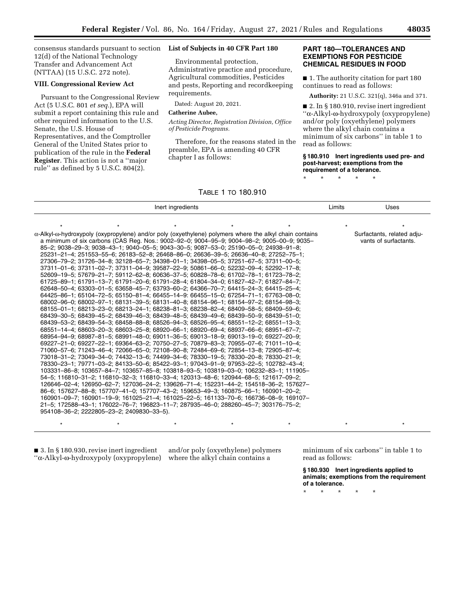consensus standards pursuant to section **List of Subjects in 40 CFR Part 180**  12(d) of the National Technology Transfer and Advancement Act (NTTAA) (15 U.S.C. 272 note).

### **VIII. Congressional Review Act**

Pursuant to the Congressional Review Act (5 U.S.C. 801 *et seq.*), EPA will submit a report containing this rule and other required information to the U.S. Senate, the U.S. House of Representatives, and the Comptroller General of the United States prior to publication of the rule in the **Federal Register**. This action is not a ''major rule'' as defined by 5 U.S.C. 804(2).

Environmental protection, Administrative practice and procedure, Agricultural commodities, Pesticides and pests, Reporting and recordkeeping requirements.

Dated: August 20, 2021.

# **Catherine Aubee,**

*Acting Director, Registration Division, Office of Pesticide Programs.* 

Therefore, for the reasons stated in the preamble, EPA is amending 40 CFR chapter I as follows:

# **PART 180—TOLERANCES AND EXEMPTIONS FOR PESTICIDE CHEMICAL RESIDUES IN FOOD**

■ 1. The authority citation for part 180 continues to read as follows:

**Authority:** 21 U.S.C. 321(q), 346a and 371.

■ 2. In § 180.910, revise inert ingredient ''a-Alkyl-w-hydroxypoly (oxypropylene) and/or poly (oxyethylene) polymers where the alkyl chain contains a minimum of six carbons'' in table 1 to read as follows:

**§ 180.910 Inert ingredients used pre- and post-harvest; exemptions from the requirement of a tolerance.** 

\* \* \* \* \*

| Inert ingredients |                                                                                                                                                                       |  | Limits | Uses    |                     |
|-------------------|-----------------------------------------------------------------------------------------------------------------------------------------------------------------------|--|--------|---------|---------------------|
|                   | $\star$                                                                                                                                                               |  |        | $\star$ |                     |
|                   | hydroxypoly (oxypropylene) and/or poly (oxyethylene) polymers where the alkyl chain contains-                                                                         |  |        |         | Surfactants, relate |
|                   | num of six carbons (CAS Reg. Nos.: 9002–92–0; 9004–95–9; 9004–98–2; 9005–00–9; 9035–<br>038–29–3; 9038–43–1; 9040–05–5; 9043–30–5; 9087–53–0; 25190–05–0; 24938–91–8; |  |        |         | vants of surfacta   |
|                   | 21–4; 251553–55–6; 26183–52–8; 26468–86–0; 26636–39–5; 26636–40–8; 27252–75–1;<br>ZO OLD1700 DA OLD0100 CE ZLD4000 O1 1LD4000 OE ELD70E1 CZ ELD7011 OO EL             |  |        |         |                     |

# TABLE 1 TO 180.910

α-Alkyl-ω-hydroxypoly (o a minimum of six carbons a 85–2; 9038–29–3; 903 25231-21-4; 251553-27306–79–2; 31726–34 37311–01–6; 37311–02–7; 37311–04–9; 39587–22–9; 50861–66–0; 52232–09–4; 52292–17–8; 52609–19–5; 57679–21–7; 59112–62–8; 60636–37–5; 60828–78–6; 61702–78–1; 61723–78–2; 61725–89–1; 61791–13–7; 61791–20–6; 61791–28–4; 61804–34–0; 61827–42–7; 61827–84–7; 62648–50–4; 63303–01–5; 63658–45–7; 63793–60–2; 64366–70–7; 64415–24–3; 64415–25–4; 64425–86–1; 65104–72–5; 65150–81–4; 66455–14–9: 66455–15–0; 67254–71–1; 67763–08–0; 68002–96–0; 68002–97–1; 68131–39–5; 68131–40–8; 68154–96–1; 68154–97–2; 68154–98–3; 68155–01–1; 68213–23–0; 68213–24–1; 68238–81–3; 68238–82–4; 68409–58–5; 68409–59–6; 68439–30–5; 68439–45–2; 68439–46–3; 68439–48–5; 68439–49–6; 68439–50–9; 68439–51–0; 68439–53–2; 68439–54–3; 68458–88–8; 68526–94–3; 68526–95–4; 68551–12–2; 68551–13–3; 68551–14–4; 68603–20–3; 68603–25–8; 68920–66–1; 68920–69–4; 68937–66–6; 68951–67–7; 68954–94–9; 68987–81–5; 68991–48–0; 69011–36–5; 69013–18–9; 69013–19–0; 69227–20–9; 69227–21–0; 69227–22–1; 69364–63–2; 70750–27–5; 70879–83–3; 70955–07–6; 71011–10–4; 71060–57–6; 71243–46–4; 72066–65–0; 72108–90–8; 72484–69–6; 72854–13–8; 72905–87–4; 73018–31–2; 73049–34–0; 74432–13–6; 74499–34–6; 78330–19–5; 78330–20–8; 78330–21–9; 78330–23–1; 79771–03–2; 84133–50–6; 85422–93–1; 97043–91–9; 97953–22–5; 102782–43–4; 103331–86–8; 103657–84–7; 103657–85–8; 103818–93–5; 103819–03–0; 106232–83–1; 111905– 54–5; 116810–31–2; 116810–32–3; 116810–33–4; 120313–48–6; 120944–68–5; 121617–09–2; 126646–02–4; 126950–62–7; 127036–24–2; 139626–71–4; 152231–44–2; 154518–36–2; 157627– 86–6; 157627–88–8; 157707–41–0; 157707–43–2; 159653–49–3; 160875–66–1; 160901–20–2; 160901–09–7; 160901–19–9; 161025–21–4; 161025–22–5; 161133–70–6; 166736–08–9; 169107– 21–5; 172588–43–1; 176022–76–7; 196823–11–7; 287935–46–0; 288260–45–7; 303176–75–2; 954108–36–2; 2222805–23–2; 2409830–33–5). Surfactants, related adjuvants of surfactants.

■ 3. In § 180.930, revise inert ingredient ''a-Alkyl-w-hydroxypoly (oxypropylene)

and/or poly (oxyethylene) polymers where the alkyl chain contains a

\*\*\*\*\*\*\*

minimum of six carbons'' in table 1 to read as follows:

**§ 180.930 Inert ingredients applied to animals; exemptions from the requirement of a tolerance.** 

\* \* \* \* \*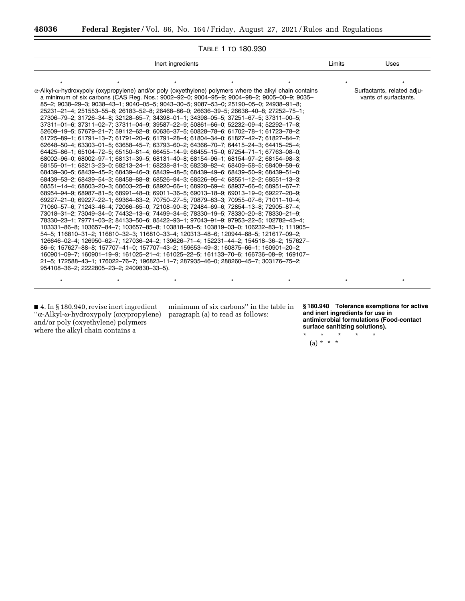۳

| TABLE 1 TO 180.930                                                                                                                                                                                                                                                                                                                                                                                                                                                                                                                                                                                                                                                                                                                                                                                                                                                                                                                                                                                                                                                                                                                                                                                                                                                                                                                                                                                                                                                                                                                                                                                                                                                                                                                                                                                                                                                                                                                                                                                                                                                                                                                                                                                                                                                                                                                                                                                                                                  |        |                                                     |  |  |  |  |
|-----------------------------------------------------------------------------------------------------------------------------------------------------------------------------------------------------------------------------------------------------------------------------------------------------------------------------------------------------------------------------------------------------------------------------------------------------------------------------------------------------------------------------------------------------------------------------------------------------------------------------------------------------------------------------------------------------------------------------------------------------------------------------------------------------------------------------------------------------------------------------------------------------------------------------------------------------------------------------------------------------------------------------------------------------------------------------------------------------------------------------------------------------------------------------------------------------------------------------------------------------------------------------------------------------------------------------------------------------------------------------------------------------------------------------------------------------------------------------------------------------------------------------------------------------------------------------------------------------------------------------------------------------------------------------------------------------------------------------------------------------------------------------------------------------------------------------------------------------------------------------------------------------------------------------------------------------------------------------------------------------------------------------------------------------------------------------------------------------------------------------------------------------------------------------------------------------------------------------------------------------------------------------------------------------------------------------------------------------------------------------------------------------------------------------------------------------|--------|-----------------------------------------------------|--|--|--|--|
| Inert ingredients                                                                                                                                                                                                                                                                                                                                                                                                                                                                                                                                                                                                                                                                                                                                                                                                                                                                                                                                                                                                                                                                                                                                                                                                                                                                                                                                                                                                                                                                                                                                                                                                                                                                                                                                                                                                                                                                                                                                                                                                                                                                                                                                                                                                                                                                                                                                                                                                                                   | Limits | Uses                                                |  |  |  |  |
|                                                                                                                                                                                                                                                                                                                                                                                                                                                                                                                                                                                                                                                                                                                                                                                                                                                                                                                                                                                                                                                                                                                                                                                                                                                                                                                                                                                                                                                                                                                                                                                                                                                                                                                                                                                                                                                                                                                                                                                                                                                                                                                                                                                                                                                                                                                                                                                                                                                     |        |                                                     |  |  |  |  |
| $\alpha$ -Alkyl- $\omega$ -hydroxypoly (oxypropylene) and/or poly (oxyethylene) polymers where the alkyl chain contains<br>a minimum of six carbons (CAS Reg. Nos.: 9002-92-0; 9004-95-9; 9004-98-2; 9005-00-9; 9035-<br>85-2; 9038-29-3; 9038-43-1; 9040-05-5; 9043-30-5; 9087-53-0; 25190-05-0; 24938-91-8;<br>25231-21-4; 251553-55-6; 26183-52-8; 26468-86-0; 26636-39-5; 26636-40-8; 27252-75-1;<br>27306-79-2; 31726-34-8; 32128-65-7; 34398-01-1; 34398-05-5; 37251-67-5; 37311-00-5;<br>37311-01-6; 37311-02-7; 37311-04-9; 39587-22-9; 50861-66-0; 52232-09-4; 52292-17-8;<br>52609-19-5; 57679-21-7; 59112-62-8; 60636-37-5; 60828-78-6; 61702-78-1; 61723-78-2;<br>61725-89-1; 61791-13-7; 61791-20-6; 61791-28-4; 61804-34-0; 61827-42-7; 61827-84-7;<br>62648-50-4; 63303-01-5; 63658-45-7; 63793-60-2; 64366-70-7; 64415-24-3; 64415-25-4;<br>64425-86-1; 65104-72-5; 65150-81-4; 66455-14-9: 66455-15-0; 67254-71-1; 67763-08-0;<br>68002-96-0; 68002-97-1; 68131-39-5; 68131-40-8; 68154-96-1; 68154-97-2; 68154-98-3;<br>68155-01-1; 68213-23-0; 68213-24-1; 68238-81-3; 68238-82-4; 68409-58-5; 68409-59-6;<br>68439-30-5; 68439-45-2; 68439-46-3; 68439-48-5; 68439-49-6; 68439-50-9; 68439-51-0;<br>68439-53-2; 68439-54-3; 68458-88-8; 68526-94-3; 68526-95-4; 68551-12-2; 68551-13-3;<br>68551-14-4; 68603-20-3; 68603-25-8; 68920-66-1; 68920-69-4; 68937-66-6; 68951-67-7;<br>68954-94-9; 68987-81-5; 68991-48-0; 69011-36-5; 69013-18-9; 69013-19-0; 69227-20-9;<br>69227-21-0; 69227-22-1; 69364-63-2; 70750-27-5; 70879-83-3; 70955-07-6; 71011-10-4;<br>71060-57-6; 71243-46-4; 72066-65-0; 72108-90-8; 72484-69-6; 72854-13-8; 72905-87-4;<br>73018-31-2; 73049-34-0; 74432-13-6; 74499-34-6; 78330-19-5; 78330-20-8; 78330-21-9;<br>78330-23-1; 79771-03-2; 84133-50-6; 85422-93-1; 97043-91-9; 97953-22-5; 102782-43-4;<br>103331-86-8; 103657-84-7; 103657-85-8; 103818-93-5; 103819-03-0; 106232-83-1; 111905-<br>54-5; 116810-31-2; 116810-32-3; 116810-33-4; 120313-48-6; 120944-68-5; 121617-09-2;<br>126646-02-4; 126950-62-7; 127036-24-2; 139626-71-4; 152231-44-2; 154518-36-2; 157627-<br>86-6; 157627-88-8; 157707-41-0; 157707-43-2; 159653-49-3; 160875-66-1; 160901-20-2;<br>160901-09-7; 160901-19-9; 161025-21-4; 161025-22-5; 161133-70-6; 166736-08-9; 169107-<br>21-5; 172588-43-1; 176022-76-7; 196823-11-7; 287935-46-0; 288260-45-7; 303176-75-2;<br>954108-36-2; 2222805-23-2; 2409830-33-5). |        | Surfactants, related adju-<br>vants of surfactants. |  |  |  |  |
|                                                                                                                                                                                                                                                                                                                                                                                                                                                                                                                                                                                                                                                                                                                                                                                                                                                                                                                                                                                                                                                                                                                                                                                                                                                                                                                                                                                                                                                                                                                                                                                                                                                                                                                                                                                                                                                                                                                                                                                                                                                                                                                                                                                                                                                                                                                                                                                                                                                     |        |                                                     |  |  |  |  |

■ 4. In § 180.940, revise inert ingredient ''a-Alkyl-w-hydroxypoly (oxypropylene) paragraph (a) to read as follows: and/or poly (oxyethylene) polymers where the alkyl chain contains a

minimum of six carbons'' in the table in

**§ 180.940 Tolerance exemptions for active and inert ingredients for use in antimicrobial formulations (Food-contact surface sanitizing solutions).** 

\* \* \* \* \* (a) \* \* \*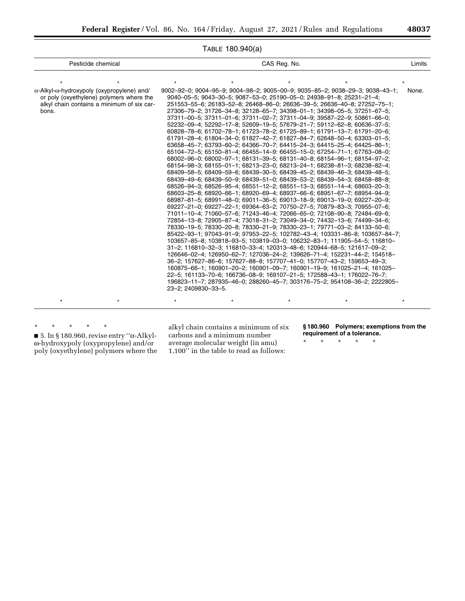| $1$ ADLL $100.570(a)$                                                                                                                                         |                                                                                                                                                                                                                                                                                                                                                                                                                                                                                                                                                                                                                                                                                                                                                                                                                                                                                                                                                                                                                                                                                                                                                                                                                                                                                                                                                                                                                                                                                                                                                                                                                                                                                                                                                                                                                                                                                                                                                                                                                                                                                                                                                                                                                                                                                                                                                           |       |  |  |  |  |
|---------------------------------------------------------------------------------------------------------------------------------------------------------------|-----------------------------------------------------------------------------------------------------------------------------------------------------------------------------------------------------------------------------------------------------------------------------------------------------------------------------------------------------------------------------------------------------------------------------------------------------------------------------------------------------------------------------------------------------------------------------------------------------------------------------------------------------------------------------------------------------------------------------------------------------------------------------------------------------------------------------------------------------------------------------------------------------------------------------------------------------------------------------------------------------------------------------------------------------------------------------------------------------------------------------------------------------------------------------------------------------------------------------------------------------------------------------------------------------------------------------------------------------------------------------------------------------------------------------------------------------------------------------------------------------------------------------------------------------------------------------------------------------------------------------------------------------------------------------------------------------------------------------------------------------------------------------------------------------------------------------------------------------------------------------------------------------------------------------------------------------------------------------------------------------------------------------------------------------------------------------------------------------------------------------------------------------------------------------------------------------------------------------------------------------------------------------------------------------------------------------------------------------------|-------|--|--|--|--|
| Pesticide chemical                                                                                                                                            | CAS Reg. No.                                                                                                                                                                                                                                                                                                                                                                                                                                                                                                                                                                                                                                                                                                                                                                                                                                                                                                                                                                                                                                                                                                                                                                                                                                                                                                                                                                                                                                                                                                                                                                                                                                                                                                                                                                                                                                                                                                                                                                                                                                                                                                                                                                                                                                                                                                                                              |       |  |  |  |  |
|                                                                                                                                                               |                                                                                                                                                                                                                                                                                                                                                                                                                                                                                                                                                                                                                                                                                                                                                                                                                                                                                                                                                                                                                                                                                                                                                                                                                                                                                                                                                                                                                                                                                                                                                                                                                                                                                                                                                                                                                                                                                                                                                                                                                                                                                                                                                                                                                                                                                                                                                           |       |  |  |  |  |
| $\alpha$ -Alkyl- $\omega$ -hydroxypoly (oxypropylene) and/<br>or poly (oxyethylene) polymers where the<br>alkyl chain contains a minimum of six car-<br>bons. | $9002-92-0$ ; $9004-95-9$ ; $9004-98-2$ ; $9005-00-9$ ; $9035-85-2$ ; $9038-29-3$ ; $9038-43-1$ ;<br>$9040 - 05 - 5$ ; $9043 - 30 - 5$ ; $9087 - 53 - 0$ ; $25190 - 05 - 0$ ; $24938 - 91 - 8$ ; $25231 - 21 - 4$ ;<br>251553-55-6; 26183-52-8; 26468-86-0; 26636-39-5; 26636-40-8; 27252-75-1;<br>27306-79-2; 31726-34-8; 32128-65-7; 34398-01-1; 34398-05-5; 37251-67-5;<br>37311-00-5; 37311-01-6; 37311-02-7; 37311-04-9; 39587-22-9; 50861-66-0;<br>52232-09-4; 52292-17-8; 52609-19-5; 57679-21-7; 59112-62-8; 60636-37-5;<br>60828-78-6; 61702-78-1; 61723-78-2; 61725-89-1; 61791-13-7; 61791-20-6;<br>61791-28-4; 61804-34-0; 61827-42-7; 61827-84-7; 62648-50-4; 63303-01-5;<br>63658-45-7; 63793-60-2; 64366-70-7; 64415-24-3; 64415-25-4; 64425-86-1;<br>65104-72-5; 65150-81-4; 66455-14-9: 66455-15-0; 67254-71-1; 67763-08-0;<br>68002-96-0; 68002-97-1; 68131-39-5; 68131-40-8; 68154-96-1; 68154-97-2;<br>68154-98-3; 68155-01-1; 68213-23-0; 68213-24-1; 68238-81-3; 68238-82-4;<br>68409-58-5; 68409-59-6; 68439-30-5; 68439-45-2; 68439-46-3; 68439-48-5;<br>68439-49-6; 68439-50-9; 68439-51-0; 68439-53-2; 68439-54-3; 68458-88-8;<br>68526-94-3; 68526-95-4; 68551-12-2; 68551-13-3; 68551-14-4; 68603-20-3;<br>68603-25-8; 68920-66-1; 68920-69-4; 68937-66-6; 68951-67-7; 68954-94-9;<br>68987-81-5; 68991-48-0; 69011-36-5; 69013-18-9; 69013-19-0; 69227-20-9;<br>69227-21-0; 69227-22-1; 69364-63-2; 70750-27-5; 70879-83-3; 70955-07-6;<br>71011-10-4; 71060-57-6; 71243-46-4; 72066-65-0; 72108-90-8; 72484-69-6;<br>72854-13-8; 72905-87-4; 73018-31-2; 73049-34-0; 74432-13-6; 74499-34-6;<br>78330-19-5; 78330-20-8; 78330-21-9; 78330-23-1; 79771-03-2; 84133-50-6;<br>85422-93-1; 97043-91-9; 97953-22-5; 102782-43-4; 103331-86-8; 103657-84-7;<br>103657-85-8; 103818-93-5; 103819-03-0; 106232-83-1; 111905-54-5; 116810-<br>31-2; 116810-32-3; 116810-33-4; 120313-48-6; 120944-68-5; 121617-09-2;<br>126646-02-4; 126950-62-7; 127036-24-2; 139626-71-4; 152231-44-2; 154518-<br>36-2; 157627-86-6; 157627-88-8; 157707-41-0; 157707-43-2; 159653-49-3;<br>160875-66-1; 160901-20-2; 160901-09-7; 160901-19-9; 161025-21-4; 161025-<br>22-5; 161133-70-6; 166736-08-9; 169107-21-5; 172588-43-1; 176022-76-7;<br>196823-11-7; 287935-46-0; 288260-45-7; 303176-75-2; 954108-36-2; 2222805-<br>23-2; 2409830-33-5. | None. |  |  |  |  |
|                                                                                                                                                               |                                                                                                                                                                                                                                                                                                                                                                                                                                                                                                                                                                                                                                                                                                                                                                                                                                                                                                                                                                                                                                                                                                                                                                                                                                                                                                                                                                                                                                                                                                                                                                                                                                                                                                                                                                                                                                                                                                                                                                                                                                                                                                                                                                                                                                                                                                                                                           |       |  |  |  |  |

TABLE 180.940(a)

\* \* \* \* \*

■ 5. In § 180.960, revise entry "α-Alkylw-hydroxypoly (oxypropylene) and/or poly (oxyethylene) polymers where the alkyl chain contains a minimum of six carbons and a minimum number average molecular weight (in amu) 1,100'' in the table to read as follows:

**§ 180.960 Polymers; exemptions from the requirement of a tolerance.** 

\* \* \* \* \*